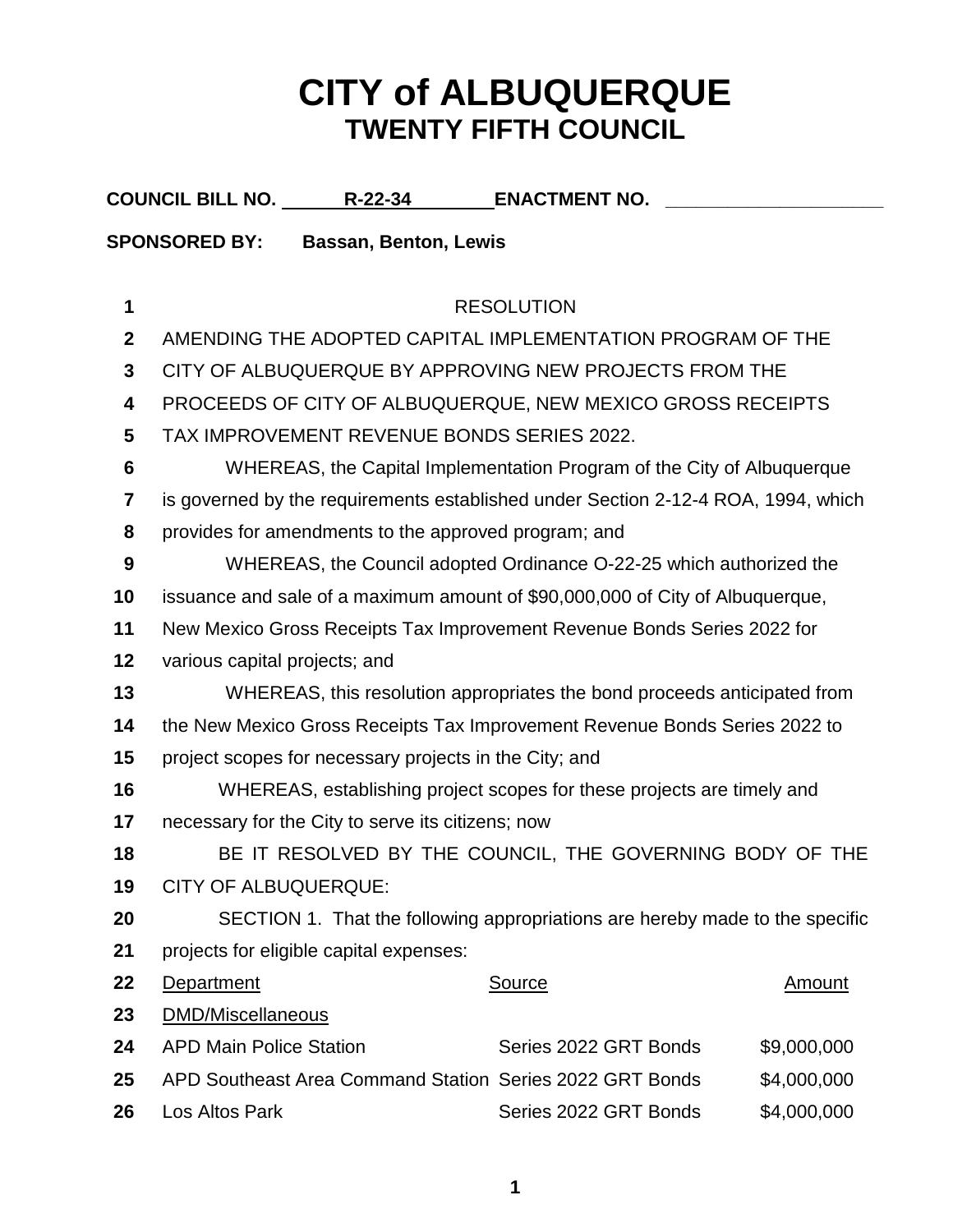## **CITY of ALBUQUERQUE TWENTY FIFTH COUNCIL**

|                                                      | COUNCIL BILL NO. _________R-22-34                                                 |  | <b>ENACTMENT NO.</b>                                       |               |  |  |
|------------------------------------------------------|-----------------------------------------------------------------------------------|--|------------------------------------------------------------|---------------|--|--|
| <b>SPONSORED BY:</b><br><b>Bassan, Benton, Lewis</b> |                                                                                   |  |                                                            |               |  |  |
|                                                      |                                                                                   |  |                                                            |               |  |  |
| 1                                                    |                                                                                   |  | <b>RESOLUTION</b>                                          |               |  |  |
| $\mathbf{2}$                                         |                                                                                   |  | AMENDING THE ADOPTED CAPITAL IMPLEMENTATION PROGRAM OF THE |               |  |  |
| 3                                                    | CITY OF ALBUQUERQUE BY APPROVING NEW PROJECTS FROM THE                            |  |                                                            |               |  |  |
| 4                                                    | PROCEEDS OF CITY OF ALBUQUERQUE, NEW MEXICO GROSS RECEIPTS                        |  |                                                            |               |  |  |
| 5                                                    | TAX IMPROVEMENT REVENUE BONDS SERIES 2022.                                        |  |                                                            |               |  |  |
| 6                                                    | WHEREAS, the Capital Implementation Program of the City of Albuquerque            |  |                                                            |               |  |  |
| 7                                                    | is governed by the requirements established under Section 2-12-4 ROA, 1994, which |  |                                                            |               |  |  |
| 8                                                    | provides for amendments to the approved program; and                              |  |                                                            |               |  |  |
| $\boldsymbol{9}$                                     | WHEREAS, the Council adopted Ordinance O-22-25 which authorized the               |  |                                                            |               |  |  |
| 10                                                   | issuance and sale of a maximum amount of \$90,000,000 of City of Albuquerque,     |  |                                                            |               |  |  |
| 11                                                   | New Mexico Gross Receipts Tax Improvement Revenue Bonds Series 2022 for           |  |                                                            |               |  |  |
| 12                                                   | various capital projects; and                                                     |  |                                                            |               |  |  |
| 13                                                   | WHEREAS, this resolution appropriates the bond proceeds anticipated from          |  |                                                            |               |  |  |
| 14                                                   | the New Mexico Gross Receipts Tax Improvement Revenue Bonds Series 2022 to        |  |                                                            |               |  |  |
| 15                                                   | project scopes for necessary projects in the City; and                            |  |                                                            |               |  |  |
| 16                                                   | WHEREAS, establishing project scopes for these projects are timely and            |  |                                                            |               |  |  |
| 17                                                   | necessary for the City to serve its citizens; now                                 |  |                                                            |               |  |  |
| 18                                                   | BE IT RESOLVED BY THE COUNCIL, THE GOVERNING BODY OF THE                          |  |                                                            |               |  |  |
| 19                                                   | <b>CITY OF ALBUQUERQUE:</b>                                                       |  |                                                            |               |  |  |
| 20                                                   | SECTION 1. That the following appropriations are hereby made to the specific      |  |                                                            |               |  |  |
| 21                                                   | projects for eligible capital expenses:                                           |  |                                                            |               |  |  |
| 22                                                   | Department                                                                        |  | <b>Source</b>                                              | <b>Amount</b> |  |  |
| 23                                                   | DMD/Miscellaneous                                                                 |  |                                                            |               |  |  |
| 24                                                   | <b>APD Main Police Station</b>                                                    |  | Series 2022 GRT Bonds                                      | \$9,000,000   |  |  |
| 25                                                   |                                                                                   |  | APD Southeast Area Command Station Series 2022 GRT Bonds   | \$4,000,000   |  |  |
| 26                                                   | Los Altos Park                                                                    |  | Series 2022 GRT Bonds                                      | \$4,000,000   |  |  |